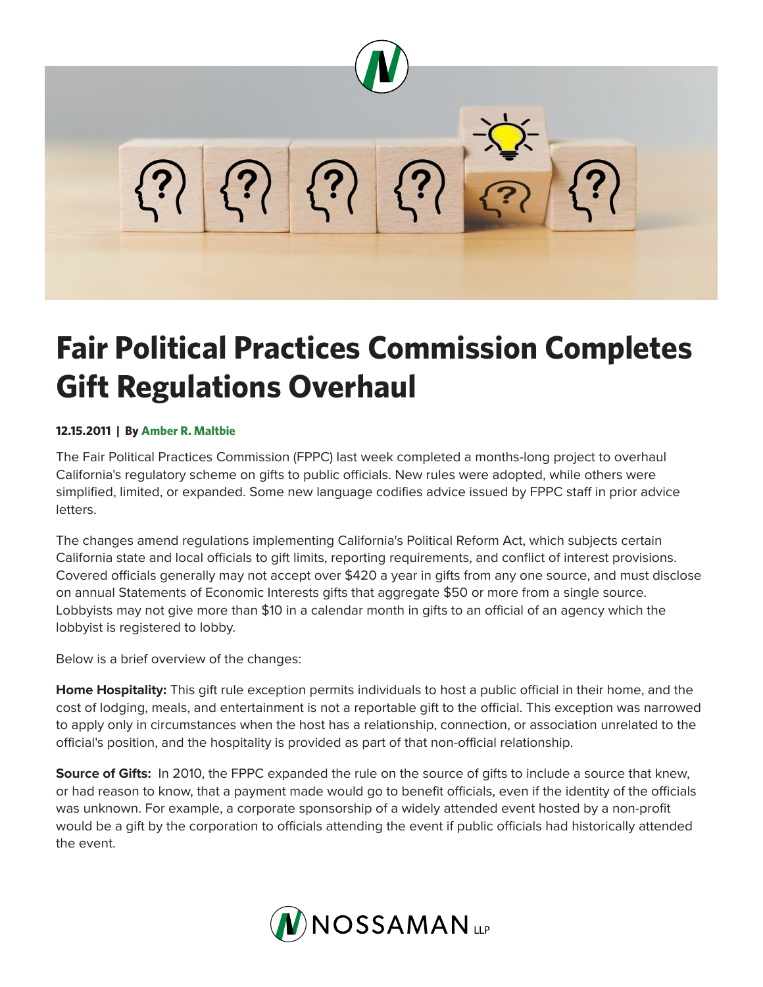

## **Fair Political Practices Commission Completes Gift Regulations Overhaul**

## **12.15.2011 | By Amber R. Maltbie**

The Fair Political Practices Commission (FPPC) last week completed a months-long project to overhaul California's regulatory scheme on gifts to public officials. New rules were adopted, while others were simplified, limited, or expanded. Some new language codifies advice issued by FPPC staff in prior advice letters.

The changes amend regulations implementing California's Political Reform Act, which subjects certain California state and local officials to gift limits, reporting requirements, and conflict of interest provisions. Covered officials generally may not accept over \$420 a year in gifts from any one source, and must disclose on annual Statements of Economic Interests gifts that aggregate \$50 or more from a single source. Lobbyists may not give more than \$10 in a calendar month in gifts to an official of an agency which the lobbyist is registered to lobby.

Below is a brief overview of the changes:

**Home Hospitality:** This gift rule exception permits individuals to host a public official in their home, and the cost of lodging, meals, and entertainment is not a reportable gift to the official. This exception was narrowed to apply only in circumstances when the host has a relationship, connection, or association unrelated to the official's position, and the hospitality is provided as part of that non-official relationship.

**Source of Gifts:** In 2010, the FPPC expanded the rule on the source of gifts to include a source that knew, or had reason to know, that a payment made would go to benefit officials, even if the identity of the officials was unknown. For example, a corporate sponsorship of a widely attended event hosted by a non-profit would be a gift by the corporation to officials attending the event if public officials had historically attended the event.

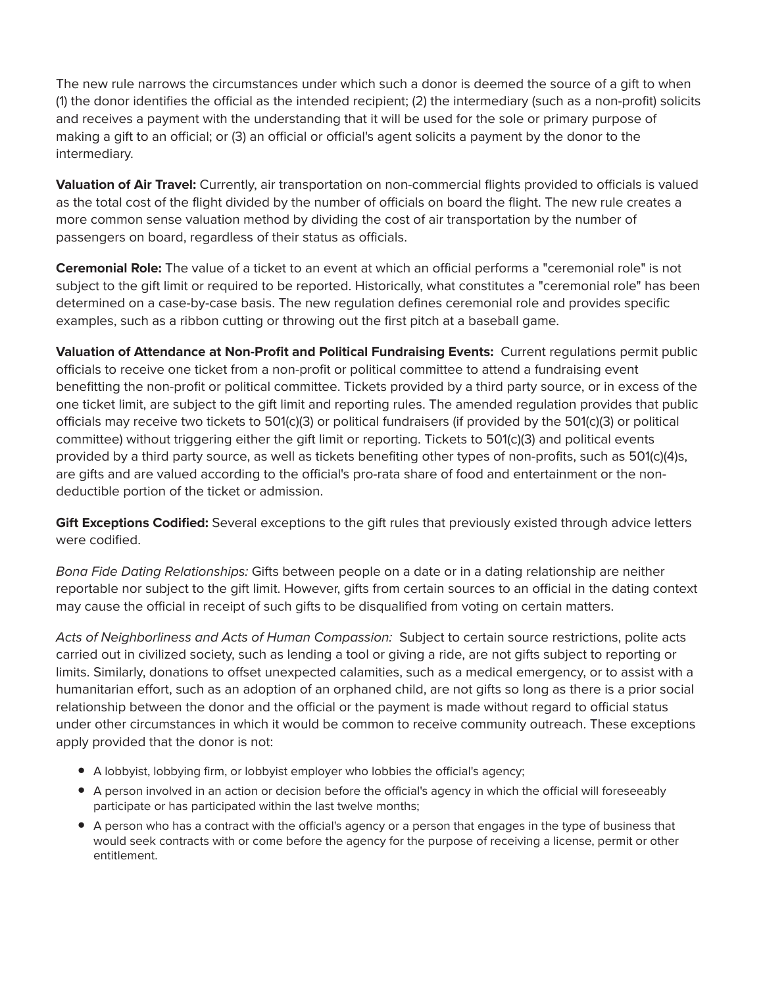The new rule narrows the circumstances under which such a donor is deemed the source of a gift to when (1) the donor identifies the official as the intended recipient; (2) the intermediary (such as a non-profit) solicits and receives a payment with the understanding that it will be used for the sole or primary purpose of making a gift to an official; or (3) an official or official's agent solicits a payment by the donor to the intermediary.

**Valuation of Air Travel:** Currently, air transportation on non-commercial flights provided to officials is valued as the total cost of the flight divided by the number of officials on board the flight. The new rule creates a more common sense valuation method by dividing the cost of air transportation by the number of passengers on board, regardless of their status as officials.

**Ceremonial Role:** The value of a ticket to an event at which an official performs a "ceremonial role" is not subject to the gift limit or required to be reported. Historically, what constitutes a "ceremonial role" has been determined on a case-by-case basis. The new regulation defines ceremonial role and provides specific examples, such as a ribbon cutting or throwing out the first pitch at a baseball game.

**Valuation of Attendance at Non-Profit and Political Fundraising Events:** Current regulations permit public officials to receive one ticket from a non-profit or political committee to attend a fundraising event benefitting the non-profit or political committee. Tickets provided by a third party source, or in excess of the one ticket limit, are subject to the gift limit and reporting rules. The amended regulation provides that public officials may receive two tickets to 501(c)(3) or political fundraisers (if provided by the 501(c)(3) or political committee) without triggering either the gift limit or reporting. Tickets to 501(c)(3) and political events provided by a third party source, as well as tickets benefiting other types of non-profits, such as 501(c)(4)s, are gifts and are valued according to the official's pro-rata share of food and entertainment or the nondeductible portion of the ticket or admission.

**Gift Exceptions Codified:** Several exceptions to the gift rules that previously existed through advice letters were codified.

*Bona Fide Dating Relationships:* Gifts between people on a date or in a dating relationship are neither reportable nor subject to the gift limit. However, gifts from certain sources to an official in the dating context may cause the official in receipt of such gifts to be disqualified from voting on certain matters.

*Acts of Neighborliness and Acts of Human Compassion:* Subject to certain source restrictions, polite acts carried out in civilized society, such as lending a tool or giving a ride, are not gifts subject to reporting or limits. Similarly, donations to offset unexpected calamities, such as a medical emergency, or to assist with a humanitarian effort, such as an adoption of an orphaned child, are not gifts so long as there is a prior social relationship between the donor and the official or the payment is made without regard to official status under other circumstances in which it would be common to receive community outreach. These exceptions apply provided that the donor is not:

- A lobbyist, lobbying firm, or lobbyist employer who lobbies the official's agency;
- A person involved in an action or decision before the official's agency in which the official will foreseeably participate or has participated within the last twelve months;
- A person who has a contract with the official's agency or a person that engages in the type of business that would seek contracts with or come before the agency for the purpose of receiving a license, permit or other entitlement.